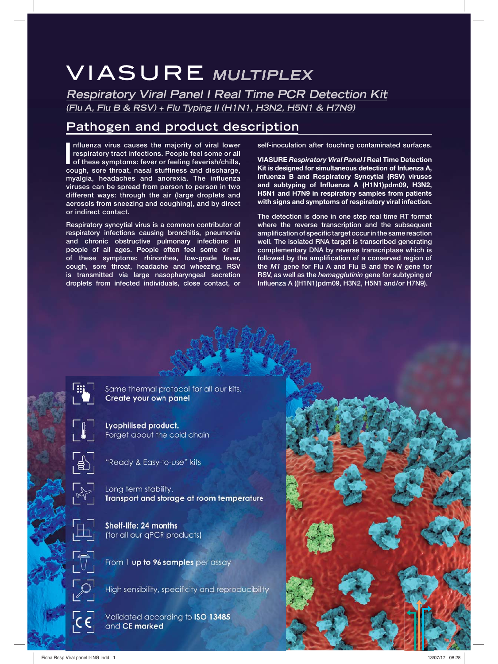# **VIASURE MULTIPLEX**

**Respiratory Viral Panel I Real Time PCR Detection Kit (Flu A, Flu B & RSV) + Flu Typing II (H1N1, H3N2, H5N1 & H7N9)**

## **Pathogen and product description**

Influenza virus causes the majority of viral lower respiratory tract infections. People feel some or all of these symptoms: fever or feeling feverish/chills, cough, sore throat, nasal stuffiness and discharge, **nfluenza virus causes the majority of viral lower respiratory tract infections. People feel some or all of these symptoms: fever or feeling feverish/chills, myalgia, headaches and anorexia. The influenza viruses can be spread from person to person in two different ways: through the air (large droplets and aerosols from sneezing and coughing), and by direct or indirect contact.**

**Respiratory syncytial virus is a common contributor of respiratory infections causing bronchitis, pneumonia and chronic obstructive pulmonary infections in people of all ages. People often feel some or all of these symptoms: rhinorrhea, low-grade fever, cough, sore throat, headache and wheezing. RSV is transmitted via large nasopharyngeal secretion droplets from infected individuals, close contact, or** 

**self-inoculation after touching contaminated surfaces.**

**VIASURE** *Respiratory Viral Panel I* **Real Time Detection Kit is designed for simultaneous detection of Infuenza A, Infuenza B and Respiratory Syncytial (RSV) viruses and subtyping of Influenza A (H1N1)pdm09, H3N2, H5N1 and H7N9 in respiratory samples from patients with signs and symptoms of respiratory viral infection.**

**The detection is done in one step real time RT format where the reverse transcription and the subsequent amplification of specific target occur in the same reaction well. The isolated RNA target is transcribed generating complementary DNA by reverse transcriptase which is followed by the amplification of a conserved region of the** *M1* **gene for Flu A and Flu B and the** *N* **gene for RSV, as well as the** *hemagglutinin* **gene for subtyping of Influenza A ((H1N1)pdm09, H3N2, H5N1 and/or H7N9).**



Same thermal protocol for all our kits. Create your own panel

**Lyophilised product.** Forget about the cold chain



"Ready & Easy-to-use" kits

Long term stability. Transport and storage at room temperature



Shelf-life: 24 months (for all our qPCR products)



From 1 up to 96 samples per assay

High sensibility, specificity and reproducibility

Validated according to ISO 13485 and CE marked